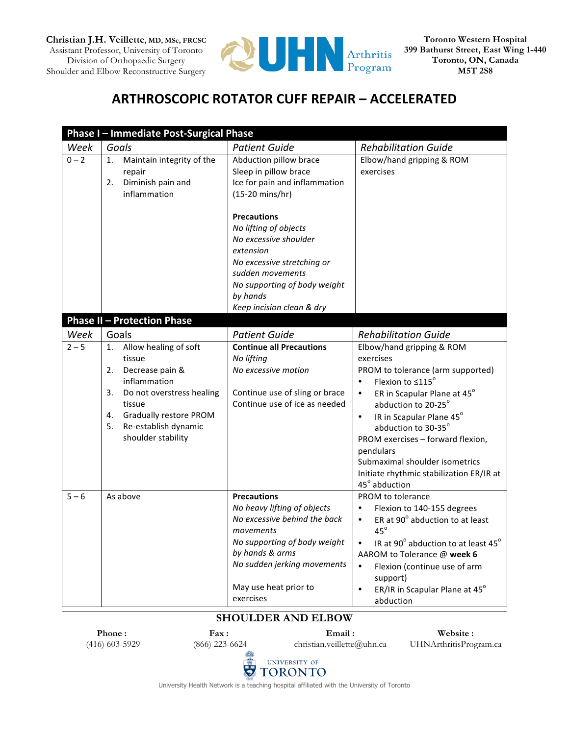

## **ARTHROSCOPIC ROTATOR CUFF REPAIR - ACCELERATED**

|         | Phase I - Immediate Post-Surgical Phase                                                                                                                                                                                |                                                                                                                                                                                                                        |                                                                                                                                                                                                                                                                                                                                                                                                             |
|---------|------------------------------------------------------------------------------------------------------------------------------------------------------------------------------------------------------------------------|------------------------------------------------------------------------------------------------------------------------------------------------------------------------------------------------------------------------|-------------------------------------------------------------------------------------------------------------------------------------------------------------------------------------------------------------------------------------------------------------------------------------------------------------------------------------------------------------------------------------------------------------|
| Week    | Goals                                                                                                                                                                                                                  | <b>Patient Guide</b>                                                                                                                                                                                                   | <b>Rehabilitation Guide</b>                                                                                                                                                                                                                                                                                                                                                                                 |
| $0 - 2$ | Maintain integrity of the<br>1.<br>repair<br>Diminish pain and<br>2.<br>inflammation                                                                                                                                   | Abduction pillow brace<br>Sleep in pillow brace<br>Ice for pain and inflammation<br>(15-20 mins/hr)                                                                                                                    | Elbow/hand gripping & ROM<br>exercises                                                                                                                                                                                                                                                                                                                                                                      |
|         |                                                                                                                                                                                                                        | <b>Precautions</b><br>No lifting of objects<br>No excessive shoulder<br>extension<br>No excessive stretching or<br>sudden movements<br>No supporting of body weight<br>by hands<br>Keep incision clean & dry           |                                                                                                                                                                                                                                                                                                                                                                                                             |
|         | <b>Phase II - Protection Phase</b>                                                                                                                                                                                     |                                                                                                                                                                                                                        |                                                                                                                                                                                                                                                                                                                                                                                                             |
| Week    | Goals                                                                                                                                                                                                                  | <b>Patient Guide</b>                                                                                                                                                                                                   | <b>Rehabilitation Guide</b>                                                                                                                                                                                                                                                                                                                                                                                 |
| $2 - 5$ | Allow healing of soft<br>1.<br>tissue<br>Decrease pain &<br>2.<br>inflammation<br>3.<br>Do not overstress healing<br>tissue<br>4.<br><b>Gradually restore PROM</b><br>5.<br>Re-establish dynamic<br>shoulder stability | <b>Continue all Precautions</b><br>No lifting<br>No excessive motion<br>Continue use of sling or brace<br>Continue use of ice as needed                                                                                | Elbow/hand gripping & ROM<br>exercises<br>PROM to tolerance (arm supported)<br>Flexion to $\leq 115^\circ$<br>$\bullet$<br>ER in Scapular Plane at 45°<br>$\bullet$<br>abduction to 20-25°<br>IR in Scapular Plane 45°<br>$\bullet$<br>abduction to 30-35°<br>PROM exercises - forward flexion,<br>pendulars<br>Submaximal shoulder isometrics<br>Initiate rhythmic stabilization ER/IR at<br>45° abduction |
| $5 - 6$ | As above                                                                                                                                                                                                               | <b>Precautions</b><br>No heavy lifting of objects<br>No excessive behind the back<br>movements<br>No supporting of body weight<br>by hands & arms<br>No sudden jerking movements<br>May use heat prior to<br>exercises | PROM to tolerance<br>Flexion to 140-155 degrees<br>$\bullet$<br>ER at 90° abduction to at least<br>$\bullet$<br>$45^\circ$<br>IR at 90° abduction to at least 45°<br>$\bullet$<br>AAROM to Tolerance @ week 6<br>$\bullet$<br>Flexion (continue use of arm<br>support)<br>ER/IR in Scapular Plane at 45°<br>$\bullet$<br>abduction                                                                          |

## **SHOULDER AND ELBOW**

**Phone :** (416) 603-5929

**Fax :** (866) 223-6624

**Email :** christian.veillette@uhn.ca

**Website :** UHNArthritisProgram.ca



University Health Network is a teaching hospital affiliated with the University of Toronto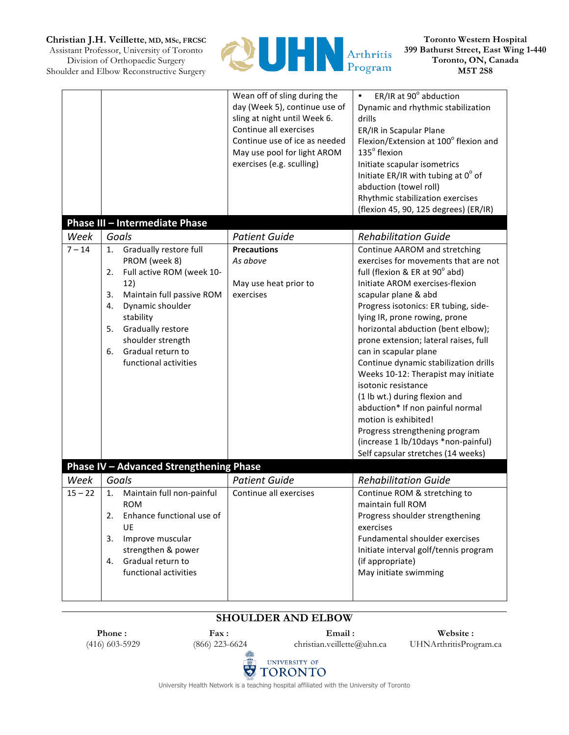**Christian J.H. Veillette, MD, MSc, FRCSC**

Assistant Professor, University of Toronto Division of Orthopaedic Surgery Shoulder and Elbow Reconstructive Surgery



**Toronto Western Hospital 399 Bathurst Street, East Wing 1-440 Toronto, ON, Canada M5T 2S8**

|                   | Phase III - Intermediate Phase                                                                                                                                                                                                                                        | Wean off of sling during the<br>day (Week 5), continue use of<br>sling at night until Week 6.<br>Continue all exercises<br>Continue use of ice as needed<br>May use pool for light AROM<br>exercises (e.g. sculling) | ER/IR at 90° abduction<br>$\bullet$<br>Dynamic and rhythmic stabilization<br>drills<br>ER/IR in Scapular Plane<br>Flexion/Extension at 100° flexion and<br>135° flexion<br>Initiate scapular isometrics<br>Initiate ER/IR with tubing at $0^{\circ}$ of<br>abduction (towel roll)<br>Rhythmic stabilization exercises<br>(flexion 45, 90, 125 degrees) (ER/IR)                                                                                                                                                                                                                                                                                                         |
|-------------------|-----------------------------------------------------------------------------------------------------------------------------------------------------------------------------------------------------------------------------------------------------------------------|----------------------------------------------------------------------------------------------------------------------------------------------------------------------------------------------------------------------|------------------------------------------------------------------------------------------------------------------------------------------------------------------------------------------------------------------------------------------------------------------------------------------------------------------------------------------------------------------------------------------------------------------------------------------------------------------------------------------------------------------------------------------------------------------------------------------------------------------------------------------------------------------------|
| Week              | Goals                                                                                                                                                                                                                                                                 | <b>Patient Guide</b>                                                                                                                                                                                                 | <b>Rehabilitation Guide</b>                                                                                                                                                                                                                                                                                                                                                                                                                                                                                                                                                                                                                                            |
| $7 - 14$          | Gradually restore full<br>1.<br>PROM (week 8)<br>Full active ROM (week 10-<br>2.<br>12)<br>Maintain full passive ROM<br>3.<br>4.<br>Dynamic shoulder<br>stability<br>5.<br>Gradually restore<br>shoulder strength<br>Gradual return to<br>6.<br>functional activities | <b>Precautions</b><br>As above<br>May use heat prior to<br>exercises                                                                                                                                                 | Continue AAROM and stretching<br>exercises for movements that are not<br>full (flexion & ER at 90° abd)<br>Initiate AROM exercises-flexion<br>scapular plane & abd<br>Progress isotonics: ER tubing, side-<br>lying IR, prone rowing, prone<br>horizontal abduction (bent elbow);<br>prone extension; lateral raises, full<br>can in scapular plane<br>Continue dynamic stabilization drills<br>Weeks 10-12: Therapist may initiate<br>isotonic resistance<br>(1 lb wt.) during flexion and<br>abduction* If non painful normal<br>motion is exhibited!<br>Progress strengthening program<br>(increase 1 lb/10days *non-painful)<br>Self capsular stretches (14 weeks) |
|                   | Phase IV - Advanced Strengthening Phase                                                                                                                                                                                                                               |                                                                                                                                                                                                                      |                                                                                                                                                                                                                                                                                                                                                                                                                                                                                                                                                                                                                                                                        |
| Week<br>$15 - 22$ | Goals<br>Maintain full non-painful<br>1.<br><b>ROM</b><br>Enhance functional use of<br>2.<br>UE<br>3.<br>Improve muscular<br>strengthen & power<br>Gradual return to<br>4.<br>functional activities                                                                   | <b>Patient Guide</b><br>Continue all exercises                                                                                                                                                                       | <b>Rehabilitation Guide</b><br>Continue ROM & stretching to<br>maintain full ROM<br>Progress shoulder strengthening<br>exercises<br>Fundamental shoulder exercises<br>Initiate interval golf/tennis program<br>(if appropriate)<br>May initiate swimming                                                                                                                                                                                                                                                                                                                                                                                                               |

## **SHOULDER AND ELBOW**

**Phone :** (416) 603-5929

**Fax :** (866) 223-6624

**Email :** christian.veillette@uhn.ca

**Website :** UHNArthritisProgram.ca



University Health Network is a teaching hospital affiliated with the University of Toronto